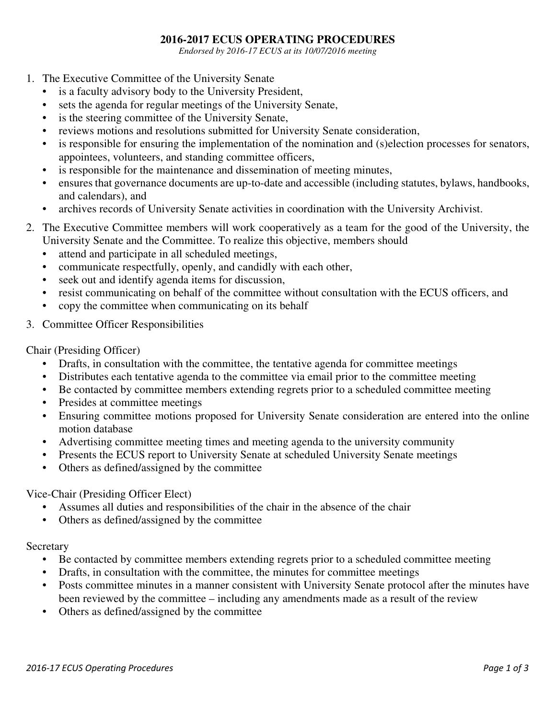## **2016-2017 ECUS OPERATING PROCEDURES**

*Endorsed by 2016-17 ECUS at its 10/07/2016 meeting* 

- 1. The Executive Committee of the University Senate
	- is a faculty advisory body to the University President,
	- sets the agenda for regular meetings of the University Senate,
	- is the steering committee of the University Senate,
	- reviews motions and resolutions submitted for University Senate consideration,
	- is responsible for ensuring the implementation of the nomination and (s)election processes for senators, appointees, volunteers, and standing committee officers,
	- is responsible for the maintenance and dissemination of meeting minutes,
	- ensures that governance documents are up-to-date and accessible (including statutes, bylaws, handbooks, and calendars), and
	- archives records of University Senate activities in coordination with the University Archivist.
- 2. The Executive Committee members will work cooperatively as a team for the good of the University, the University Senate and the Committee. To realize this objective, members should
	- attend and participate in all scheduled meetings,
	- communicate respectfully, openly, and candidly with each other,
	- seek out and identify agenda items for discussion,
	- resist communicating on behalf of the committee without consultation with the ECUS officers, and
	- copy the committee when communicating on its behalf
- 3. Committee Officer Responsibilities

Chair (Presiding Officer)

- Drafts, in consultation with the committee, the tentative agenda for committee meetings
- Distributes each tentative agenda to the committee via email prior to the committee meeting
- Be contacted by committee members extending regrets prior to a scheduled committee meeting
- Presides at committee meetings
- Ensuring committee motions proposed for University Senate consideration are entered into the online motion database
- Advertising committee meeting times and meeting agenda to the university community
- Presents the ECUS report to University Senate at scheduled University Senate meetings
- Others as defined/assigned by the committee

Vice-Chair (Presiding Officer Elect)

- Assumes all duties and responsibilities of the chair in the absence of the chair
- Others as defined/assigned by the committee

## **Secretary**

- Be contacted by committee members extending regrets prior to a scheduled committee meeting
- Drafts, in consultation with the committee, the minutes for committee meetings
- Posts committee minutes in a manner consistent with University Senate protocol after the minutes have been reviewed by the committee – including any amendments made as a result of the review
- Others as defined/assigned by the committee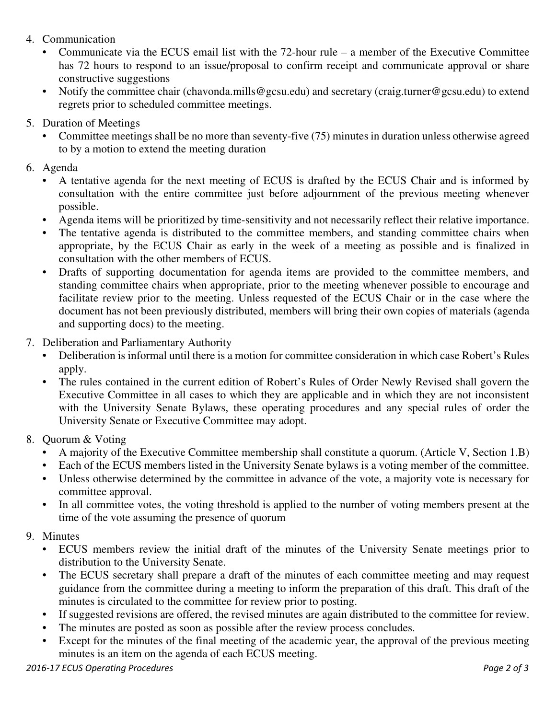- 4. Communication
	- Communicate via the ECUS email list with the 72-hour rule a member of the Executive Committee has 72 hours to respond to an issue/proposal to confirm receipt and communicate approval or share constructive suggestions
	- Notify the committee chair (chavonda.mills@gcsu.edu) and secretary (craig.turner@gcsu.edu) to extend regrets prior to scheduled committee meetings.
- 5. Duration of Meetings
	- Committee meetings shall be no more than seventy-five (75) minutes in duration unless otherwise agreed to by a motion to extend the meeting duration
- 6. Agenda
	- A tentative agenda for the next meeting of ECUS is drafted by the ECUS Chair and is informed by consultation with the entire committee just before adjournment of the previous meeting whenever possible.
	- Agenda items will be prioritized by time-sensitivity and not necessarily reflect their relative importance.
	- The tentative agenda is distributed to the committee members, and standing committee chairs when appropriate, by the ECUS Chair as early in the week of a meeting as possible and is finalized in consultation with the other members of ECUS.
	- Drafts of supporting documentation for agenda items are provided to the committee members, and standing committee chairs when appropriate, prior to the meeting whenever possible to encourage and facilitate review prior to the meeting. Unless requested of the ECUS Chair or in the case where the document has not been previously distributed, members will bring their own copies of materials (agenda and supporting docs) to the meeting.
- 7. Deliberation and Parliamentary Authority
	- Deliberation is informal until there is a motion for committee consideration in which case Robert's Rules apply.
	- The rules contained in the current edition of Robert's Rules of Order Newly Revised shall govern the Executive Committee in all cases to which they are applicable and in which they are not inconsistent with the University Senate Bylaws, these operating procedures and any special rules of order the University Senate or Executive Committee may adopt.
- 8. Quorum & Voting
	- A majority of the Executive Committee membership shall constitute a quorum. (Article V, Section 1.B)
	- Each of the ECUS members listed in the University Senate bylaws is a voting member of the committee.
	- Unless otherwise determined by the committee in advance of the vote, a majority vote is necessary for committee approval.
	- In all committee votes, the voting threshold is applied to the number of voting members present at the time of the vote assuming the presence of quorum
- 9. Minutes
	- ECUS members review the initial draft of the minutes of the University Senate meetings prior to distribution to the University Senate.
	- The ECUS secretary shall prepare a draft of the minutes of each committee meeting and may request guidance from the committee during a meeting to inform the preparation of this draft. This draft of the minutes is circulated to the committee for review prior to posting.
	- If suggested revisions are offered, the revised minutes are again distributed to the committee for review.
	- The minutes are posted as soon as possible after the review process concludes.
	- Except for the minutes of the final meeting of the academic year, the approval of the previous meeting minutes is an item on the agenda of each ECUS meeting.